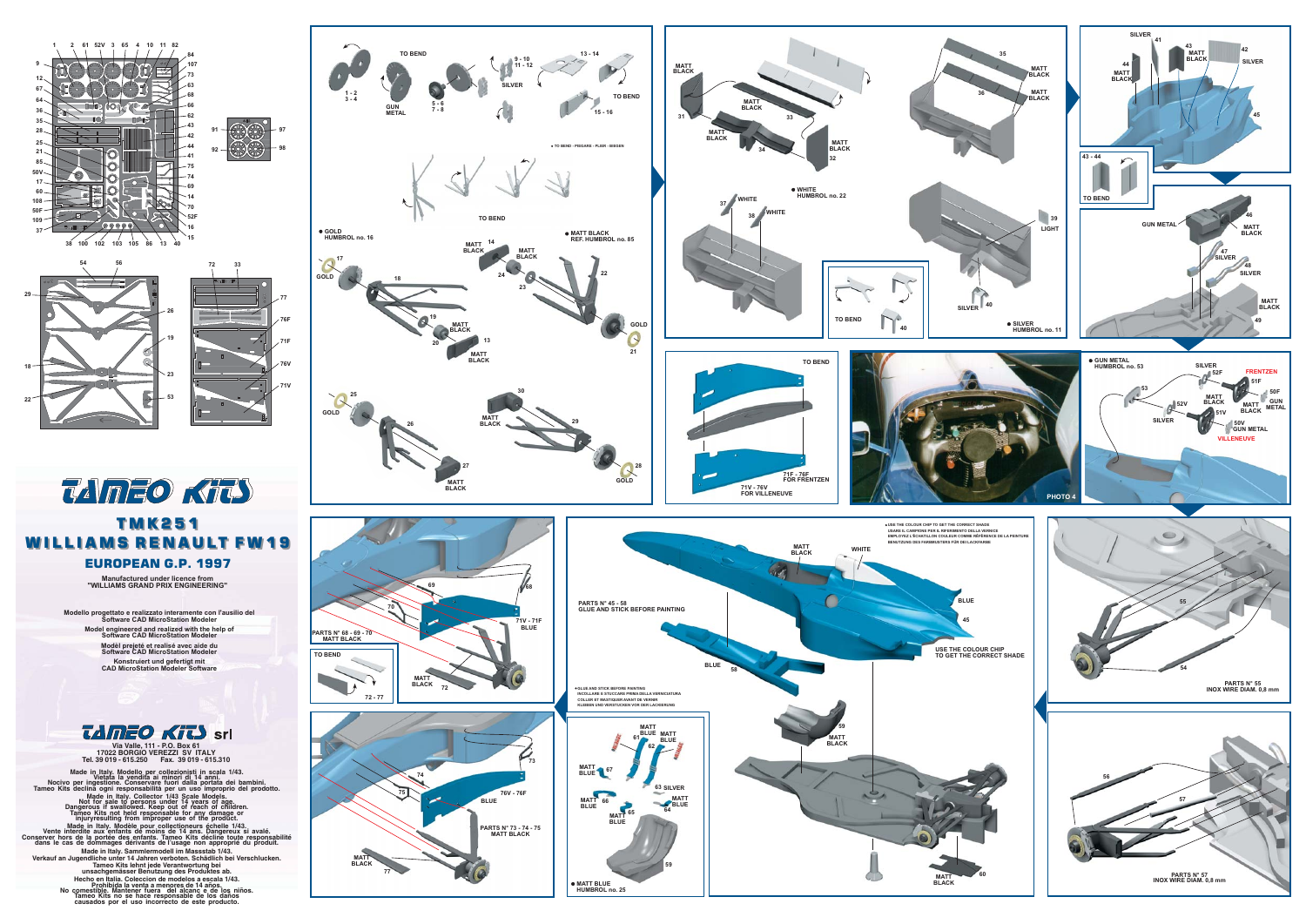





## **TMK251 WILLIAMS RENAULT FW19 EUROPEAN G.P. 1997**

Manufactured under licence from<br>"WILLIAMS GRAND PRIX ENGINEERING"

llo progettato e realizzato interamente con l'ausilio del<br>Software CAD MicroStation Modeler Model engineered and realized with the help of<br>Software CAD MicroStation Modeler Modèl prejeté et realisé avec aide du<br>Software CAD MicroStation Modeler Konstruiert und gefertigt mit<br>CAD MicroStation Modeler Software



Via Valle, 111 - P.O. Box 61<br>17022 BORGIO VEREZZI SV ITALY<br>Tel. 39 019 - 615.250 Fax. 39 019 - 615.310

Made in Italy. Modello per collezionisti in scala 1/43.<br>
Nocivo per ingestione. Conservare fuori di 14 anni.<br>
Tameo Kits declina ogni responsabilità per un uso improprio del prodotto.<br>
Tameo Kits declina ogni responsabilit

made in Italy. Modèle pour collectioneurs échelle 1/43.<br>Vente interdite aux enfants de moins de la aux enfants de moins de la portée des enfants. Tameo Kits décline toute responsa<br>Priver hors de la portée des enfants. Tame Conserver h<br>dans le

Made in Italy. Sammlermodell im Massstab 1/43.<br>Verkauf an Jugendliche unter 14 Jahren verboten. Schädlich bei Verschlucken<br>Tameo Kits lehnt jede Verantwortung bei<br>unsachgemässer Benutzung des Produktes ab.

Francisco en Italia. Coleccion de modelos a escala 1/43.<br>
Prohibida la venta a menores de 14 años.<br>
Prohibida la venta a menores de 14 años.<br>
No comestible. Mantener fuera del alcanc e de los niños.<br>
Tameo Kits no se hace